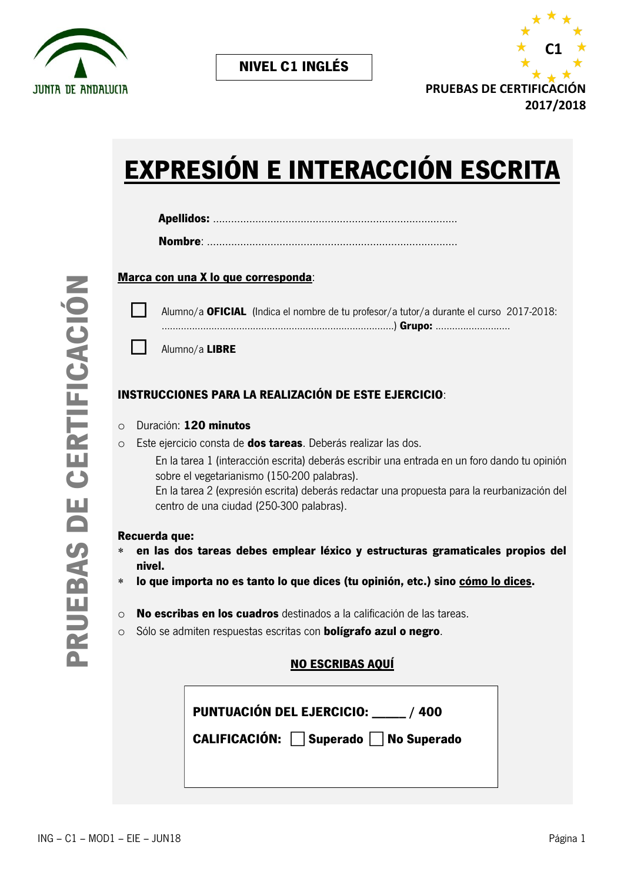



# **EXPRESIÓN E INTERACCIÓN ESCRITA**

|--|--|

### **Marca con una X lo que corresponda**:



 Alumno/a **OFICIAL** (Indica el nombre de tu profesor/a tutor/a durante el curso 2017-2018: ………………………………………..……………………………….) **Grupo:** ...........................

Alumno/a **LIBRE** 

## **INSTRUCCIONES PARA LA REALIZACIÓN DE ESTE EJERCICIO**:

- o Duración: **120 minutos**
- o Este ejercicio consta de **dos tareas**. Deberás realizar las dos.

En la tarea 1 (interacción escrita) deberás escribir una entrada en un foro dando tu opinión sobre el vegetarianismo (150-200 palabras).

En la tarea 2 (expresión escrita) deberás redactar una propuesta para la reurbanización del centro de una ciudad (250-300 palabras).

#### **Recuerda que:**

- **en las dos tareas debes emplear léxico y estructuras gramaticales propios del nivel.**
- **lo que importa no es tanto lo que dices (tu opinión, etc.) sino cómo lo dices.**
- o **No escribas en los cuadros** destinados a la calificación de las tareas.
- o Sólo se admiten respuestas escritas con **bolígrafo azul o negro**.

## **NO ESCRIBAS AQUÍ**

| <b>PUNTUACIÓN DEL EJERCICIO:</b><br>/400 |  |
|------------------------------------------|--|
| CALIFICACIÓN: Superado   No Superado     |  |
|                                          |  |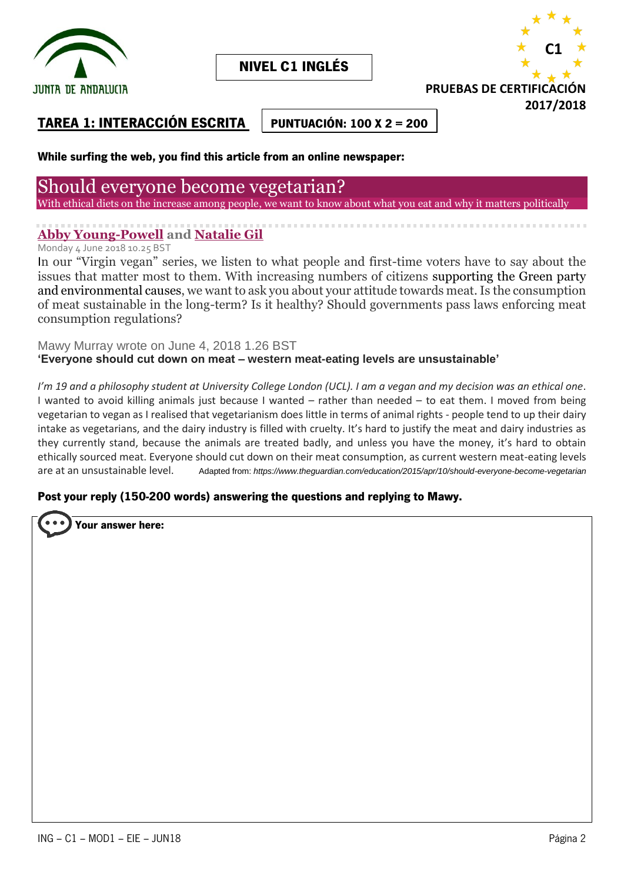

**NIVEL C1 INGLÉS**



# **TAREA 1: INTERACCIÓN ESCRITA**

**PUNTUACIÓN: 100 X 2 = 200**

### **While surfing the web, you find this article from an online newspaper:**

# Should everyone become vegetarian?

With ethical diets on the increase among people, we want to know about what you eat and why it matters politically

# **[Abby Young-Powell](https://www.theguardian.com/profile/abby-young-powell) and [Natalie Gil](https://www.theguardian.com/profile/natalie-gil)**

Monday 4 June 2018 10.25 BST

In our "Virgin vegan" series, we listen to what people and first-time voters have to say about the issues that matter most to them. With increasing numbers of citizens supporting the Green party and environmental causes, we want to ask you about your attitude towards meat. Is the consumption of meat sustainable in the long-term? Is it healthy? Should governments pass laws enforcing meat consumption regulations?

Mawy Murray wrote on June 4, 2018 1.26 BST **'Everyone should cut down on meat – western meat-eating levels are unsustainable'**

*I'm 19 and a philosophy student at University College London (UCL). I am a vegan and my decision was an ethical one*. I wanted to avoid killing animals just because I wanted – rather than needed – to eat them. I moved from being vegetarian to vegan as I realised that vegetarianism does little in terms of animal rights - people tend to up their dairy intake as vegetarians, and the dairy industry is filled with cruelty. It's hard to justify the meat and dairy industries as they currently stand, because the animals are treated badly, and unless you have the money, it's hard to obtain ethically sourced meat. Everyone should cut down on their meat consumption, as current western meat-eating levels are at an unsustainable level. Adapted from: *https://www.theguardian.com/education/2015/apr/10/should-everyone-become-vegetarian*

#### **Post your reply (150-200 words) answering the questions and replying to Mawy.**

**Your answer here:**